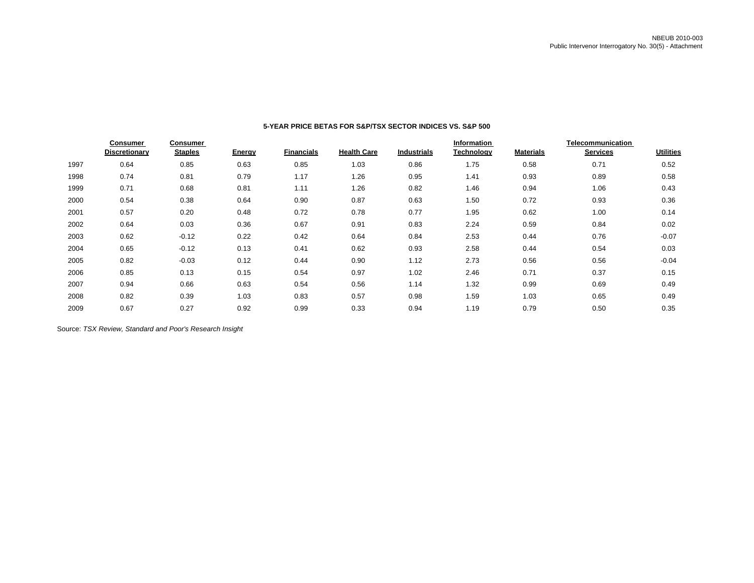|      | <b>Consumer</b><br>Discretionary | Consumer<br><b>Staples</b> | Energy | <b>Financials</b> | <b>Health Care</b> | <b>Industrials</b> | <b>Information</b><br>Technology | <b>Materials</b> | Telecommunication<br><b>Services</b> | <b>Utilities</b> |
|------|----------------------------------|----------------------------|--------|-------------------|--------------------|--------------------|----------------------------------|------------------|--------------------------------------|------------------|
| 1997 | 0.64                             | 0.85                       | 0.63   | 0.85              | 1.03               | 0.86               | 1.75                             | 0.58             | 0.71                                 | 0.52             |
| 1998 | 0.74                             | 0.81                       | 0.79   | 1.17              | 1.26               | 0.95               | 1.41                             | 0.93             | 0.89                                 | 0.58             |
| 1999 | 0.71                             | 0.68                       | 0.81   | 1.11              | 1.26               | 0.82               | 1.46                             | 0.94             | 1.06                                 | 0.43             |
| 2000 | 0.54                             | 0.38                       | 0.64   | 0.90              | 0.87               | 0.63               | 1.50                             | 0.72             | 0.93                                 | 0.36             |
| 2001 | 0.57                             | 0.20                       | 0.48   | 0.72              | 0.78               | 0.77               | 1.95                             | 0.62             | 1.00                                 | 0.14             |
| 2002 | 0.64                             | 0.03                       | 0.36   | 0.67              | 0.91               | 0.83               | 2.24                             | 0.59             | 0.84                                 | 0.02             |
| 2003 | 0.62                             | $-0.12$                    | 0.22   | 0.42              | 0.64               | 0.84               | 2.53                             | 0.44             | 0.76                                 | $-0.07$          |
| 2004 | 0.65                             | $-0.12$                    | 0.13   | 0.41              | 0.62               | 0.93               | 2.58                             | 0.44             | 0.54                                 | 0.03             |
| 2005 | 0.82                             | $-0.03$                    | 0.12   | 0.44              | 0.90               | 1.12               | 2.73                             | 0.56             | 0.56                                 | $-0.04$          |
| 2006 | 0.85                             | 0.13                       | 0.15   | 0.54              | 0.97               | 1.02               | 2.46                             | 0.71             | 0.37                                 | 0.15             |
| 2007 | 0.94                             | 0.66                       | 0.63   | 0.54              | 0.56               | 1.14               | 1.32                             | 0.99             | 0.69                                 | 0.49             |
| 2008 | 0.82                             | 0.39                       | 1.03   | 0.83              | 0.57               | 0.98               | 1.59                             | 1.03             | 0.65                                 | 0.49             |
| 2009 | 0.67                             | 0.27                       | 0.92   | 0.99              | 0.33               | 0.94               | 1.19                             | 0.79             | 0.50                                 | 0.35             |

## **5-YEAR PRICE BETAS FOR S&P/TSX SECTOR INDICES VS. S&P 500**

Source: *TSX Review, Standard and Poor's Research Insight*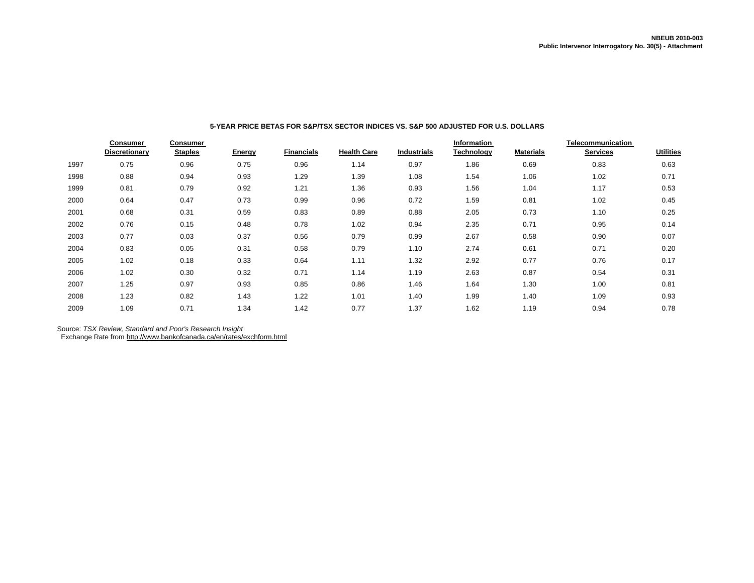|      | <b>Consumer</b>      | <b>Consumer</b> |               |                   |                    |                    | Information |                  |                 |                  |
|------|----------------------|-----------------|---------------|-------------------|--------------------|--------------------|-------------|------------------|-----------------|------------------|
|      | <b>Discretionary</b> | <b>Staples</b>  | <b>Energy</b> | <b>Financials</b> | <b>Health Care</b> | <b>Industrials</b> | Technology  | <b>Materials</b> | <b>Services</b> | <b>Utilities</b> |
| 1997 | 0.75                 | 0.96            | 0.75          | 0.96              | 1.14               | 0.97               | 1.86        | 0.69             | 0.83            | 0.63             |
| 1998 | 0.88                 | 0.94            | 0.93          | 1.29              | 1.39               | 1.08               | 1.54        | 1.06             | 1.02            | 0.71             |
| 1999 | 0.81                 | 0.79            | 0.92          | 1.21              | 1.36               | 0.93               | 1.56        | 1.04             | 1.17            | 0.53             |
| 2000 | 0.64                 | 0.47            | 0.73          | 0.99              | 0.96               | 0.72               | 1.59        | 0.81             | 1.02            | 0.45             |
| 2001 | 0.68                 | 0.31            | 0.59          | 0.83              | 0.89               | 0.88               | 2.05        | 0.73             | 1.10            | 0.25             |
| 2002 | 0.76                 | 0.15            | 0.48          | 0.78              | 1.02               | 0.94               | 2.35        | 0.71             | 0.95            | 0.14             |
| 2003 | 0.77                 | 0.03            | 0.37          | 0.56              | 0.79               | 0.99               | 2.67        | 0.58             | 0.90            | 0.07             |
| 2004 | 0.83                 | 0.05            | 0.31          | 0.58              | 0.79               | 1.10               | 2.74        | 0.61             | 0.71            | 0.20             |
| 2005 | 1.02                 | 0.18            | 0.33          | 0.64              | 1.11               | 1.32               | 2.92        | 0.77             | 0.76            | 0.17             |
| 2006 | 1.02                 | 0.30            | 0.32          | 0.71              | 1.14               | 1.19               | 2.63        | 0.87             | 0.54            | 0.31             |
| 2007 | 1.25                 | 0.97            | 0.93          | 0.85              | 0.86               | 1.46               | 1.64        | 1.30             | 1.00            | 0.81             |
| 2008 | 1.23                 | 0.82            | 1.43          | 1.22              | 1.01               | 1.40               | 1.99        | 1.40             | 1.09            | 0.93             |
| 2009 | 1.09                 | 0.71            | 1.34          | 1.42              | 0.77               | 1.37               | 1.62        | 1.19             | 0.94            | 0.78             |

# **5-YEAR PRICE BETAS FOR S&P/TSX SECTOR INDICES VS. S&P 500 ADJUSTED FOR U.S. DOLLARS**

Source: *TSX Review, Standard and Poor's Research Insight*

Exchange Rate from http://www.bankofcanada.ca/en/rates/exchform.html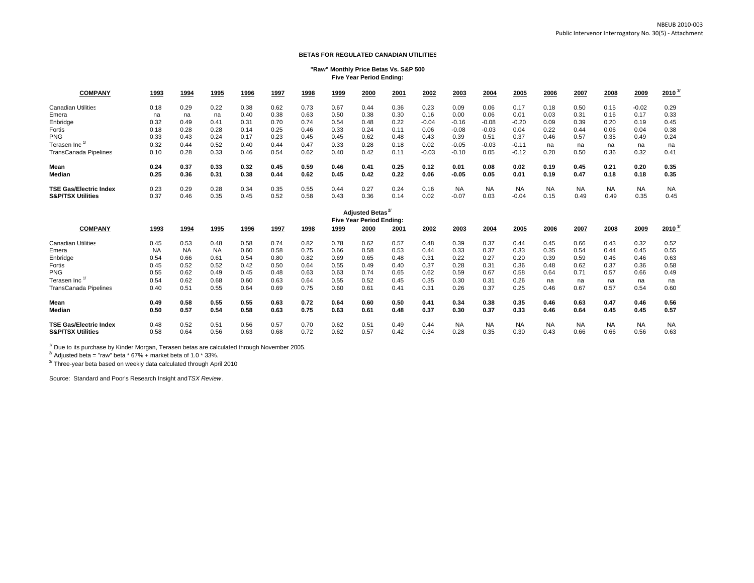#### **BETAS FOR REGULATED CANADIAN UTILITIES**

#### **"Raw" Monthly Price Betas Vs. S&P 500 Five Year Period Ending:**

| <b>COMPANY</b>                | 1993          | 1994       | 1995        | 1996                 | 1997 | 1998                 | 1999        | 2000                     | 2001      | 2002    | 2003      | 2004          | 2005                 | 2006          | 2007          | 2008       | 2009            | $2010^{37}$  |
|-------------------------------|---------------|------------|-------------|----------------------|------|----------------------|-------------|--------------------------|-----------|---------|-----------|---------------|----------------------|---------------|---------------|------------|-----------------|--------------|
| <b>Canadian Utilities</b>     | 0.18          | 0.29       | 0.22        | 0.38                 | 0.62 | 0.73                 | 0.67        | 0.44                     | 0.36      | 0.23    | 0.09      | 0.06          | 0.17                 | 0.18          | 0.50          | 0.15       | $-0.02$         | 0.29         |
| Emera                         | na            | na         | na          | 0.40                 | 0.38 | 0.63                 | 0.50        | 0.38                     | 0.30      | 0.16    | 0.00      | 0.06          | 0.01                 | 0.03          | 0.31          | 0.16       | 0.17            | 0.33         |
| Enbridge                      | 0.32          | 0.49       | 0.41        | 0.31                 | 0.70 | 0.74                 | 0.54        | 0.48                     | 0.22      | $-0.04$ | $-0.16$   | $-0.08$       | $-0.20$              | 0.09          | 0.39          | 0.20       | 0.19            | 0.45         |
| Fortis                        | 0.18          | 0.28       | 0.28        | 0.14                 | 0.25 | 0.46                 | 0.33        | 0.24                     | 0.11      | 0.06    | $-0.08$   | $-0.03$       | 0.04                 | 0.22          | 0.44          | 0.06       | 0.04            | 0.38         |
| <b>PNG</b>                    | 0.33          | 0.43       | 0.24        | 0.17                 | 0.23 | 0.45                 | 0.45        | 0.62                     | 0.48      | 0.43    | 0.39      | 0.51          | 0.37                 | 0.46          | 0.57          | 0.35       | 0.49            | 0.24         |
| Terasen Inc                   | 0.32          | 0.44       | 0.52        | 0.40                 | 0.44 | 0.47                 | 0.33        | 0.28                     | 0.18      | 0.02    | $-0.05$   | $-0.03$       | $-0.11$              | na            | na            | na         | na              | na           |
| <b>TransCanada Pipelines</b>  | 0.10          | 0.28       | 0.33        | 0.46                 | 0.54 | 0.62                 | 0.40        | 0.42                     | 0.11      | $-0.03$ | $-0.10$   | 0.05          | $-0.12$              | 0.20          | 0.50          | 0.36       | 0.32            | 0.41         |
| Mean                          | 0.24          | 0.37       | 0.33        | 0.32                 | 0.45 | 0.59                 | 0.46        | 0.41                     | 0.25      | 0.12    | 0.01      | 0.08          | 0.02                 | 0.19          | 0.45          | 0.21       | 0.20            | 0.35         |
| Median                        | 0.25          | 0.36       | 0.31        | 0.38                 | 0.44 | 0.62                 | 0.45        | 0.42                     | 0.22      | 0.06    | $-0.05$   | 0.05          | 0.01                 | 0.19          | 0.47          | 0.18       | 0.18            | 0.35         |
| <b>TSE Gas/Electric Index</b> | 0.23          | 0.29       | 0.28        | 0.34                 | 0.35 | 0.55                 | 0.44        | 0.27                     | 0.24      | 0.16    | <b>NA</b> | <b>NA</b>     | <b>NA</b>            | <b>NA</b>     | <b>NA</b>     | <b>NA</b>  | <b>NA</b>       | <b>NA</b>    |
| <b>S&amp;P/TSX Utilities</b>  | 0.37          | 0.46       | 0.35        | 0.45                 | 0.52 | 0.58                 | 0.43        | 0.36                     | 0.14      | 0.02    | $-0.07$   | 0.03          | $-0.04$              | 0.15          | 0.49          | 0.49       | 0.35            | 0.45         |
|                               |               |            |             |                      |      |                      |             | <b>Adjusted Betas</b>    |           |         |           |               |                      |               |               |            |                 |              |
|                               |               |            |             |                      |      |                      |             | Five Year Period Ending: |           |         |           |               |                      |               |               |            |                 |              |
| <b>COMPANY</b>                | 1993          | 1994       | <u>1995</u> | 1996                 | 1997 | 1998                 | <u>1999</u> | 2000                     | 2001      | 2002    | 2003      | 2004          | 2005                 | 2006          | 2007          | 2008       | 2009            | $2010^{3/2}$ |
| <b>Canadian Utilities</b>     | 0.45          | 0.53       | 0.48        | 0.58                 | 0.74 | 0.82                 | 0.78        | 0.62                     | 0.57      | 0.48    | 0.39      | 0.37          | 0.44                 | 0.45          | 0.66          | 0.43       | 0.32            | 0.52         |
| Emera                         | <b>NA</b>     | <b>NA</b>  | <b>NA</b>   | 0.60                 | 0.58 | 0.75                 | 0.66        | 0.58                     | 0.53      | 0.44    | 0.33      | 0.37          | 0.33                 | 0.35          | 0.54          | 0.44       | 0.45            | 0.55         |
| Enbridge                      | 0.54          | 0.66       | 0.61        | 0.54                 | 0.80 | 0.82                 | 0.69        | 0.65                     | 0.48      | 0.31    | 0.22      | 0.27          | 0.20                 | 0.39          | 0.59          | 0.46       | 0.46            | 0.63         |
| Fortis                        | 0.45          | 0.52       | 0.52        | 0.42                 | 0.50 | 0.64                 | 0.55        | 0.49                     | 0.40      | 0.37    | 0.28      | 0.31          | 0.36                 | 0.48          | 0.62          | 0.37       | 0.36            | 0.58         |
| <b>PNG</b>                    | 0.55          | 0.62       | 0.49        | 0.45                 | 0.48 | 0.63                 | 0.63        | 0.74                     | 0.65      | 0.62    | 0.59      | 0.67          | 0.58                 | 0.64          | 0.71          | 0.57       | 0.66            | 0.49         |
| Terasen Inc <sup>1</sup>      | 0.54          | 0.62       | 0.68        | 0.60                 | 0.63 | 0.64                 | 0.55        | 0.52                     | 0.45      | 0.35    | 0.30      | 0.31          | 0.26                 | na            | na            | na         | na              | na           |
|                               | $\sim$ $\sim$ | $\sim$ $-$ | $\sim$ $-$  | $\sim$ $\sim$ $\sim$ | 0.00 | $\sim$ $\sim$ $\sim$ | 0.00        | $\sim$ $\sim$ $\sim$     | $^{\sim}$ | 0.04    | 0.00      | $\sim$ $\sim$ | $\sim$ $\sim$ $\sim$ | $\sim$ $\sim$ | $\sim$ $\sim$ | $\sim$ $-$ | $\sim$ $ \cdot$ | 0.00         |

| Enbridge                      | 0.54 | 0.66 | 0.61 | 0.54 | 0.80 | 0.82 | 0.69 | 0.65          | 0.48 | 0.31 | 0.22      | 0.27      | 0.20 | 0.39      | 0.59      | 0.46      | 0.46      | 0.63      |
|-------------------------------|------|------|------|------|------|------|------|---------------|------|------|-----------|-----------|------|-----------|-----------|-----------|-----------|-----------|
| Fortis                        | 0.45 | 0.52 | 0.52 | 0.42 | 0.50 | 0.64 | 0.55 | 0.49          | 0.40 | 0.37 | 0.28      | 0.31      | 0.36 | 0.48      | 0.62      | 0.37      | 0.36      | 0.58      |
| <b>PNG</b>                    | 0.55 | 0.62 | 0.49 | 0.45 | 0.48 | 0.63 | 0.63 | 0.74          | 0.65 | 0.62 | 0.59      | 0.67      | 0.58 | 0.64      | 0.71      | 0.57      | 0.66      | 0.49      |
| Terasen Inc                   | 0.54 | 0.62 | 0.68 | 0.60 | 0.63 | 0.64 | 0.55 | 0.52          | 0.45 | 0.35 | 0.30      | 0.31      | 0.26 | na        | na        | na        | na        | na        |
| <b>TransCanada Pipelines</b>  | 0.40 | 0.51 | 0.55 | 0.64 | 0.69 | 0.75 | 0.60 | 0.61          | 0.41 | 0.31 | 0.26      | 0.37      | 0.25 | 0.46      | 0.67      | 0.57      | 0.54      | 0.60      |
| Mean                          | 0.49 | 0.58 | 0.55 | 0.55 | 0.63 | 0.72 | 0.64 | 0.60          | 0.50 | 0.41 | 0.34      | 0.38      | 0.35 | 0.46      | 0.63      | 0.47      | 0.46      | 0.56      |
| Median                        | 0.50 | 0.57 | 0.54 | 0.58 | 0.63 | 0.75 | 0.63 | 0.61          | 0.48 | 0.37 | 0.30      | 0.37      | 0.33 | 0.46      | 0.64      | 0.45      | 0.45      | 0.57      |
| <b>TSE Gas/Electric Index</b> | 0.48 | 0.52 | 0.51 | 0.56 | 0.57 | 0.70 | 0.62 | $0.5^{\circ}$ | 0.49 | 0.44 | <b>NA</b> | <b>NA</b> | NA   | <b>NA</b> | <b>NA</b> | <b>NA</b> | <b>NA</b> | <b>NA</b> |
| <b>S&amp;P/TSX Utilities</b>  | 0.58 | 0.64 | 0.56 | 0.63 | 0.68 | 0.72 | 0.62 | 0.57          | 0.42 | 0.34 | 0.28      | 0.35      | 0.30 | 0.43      | 0.66      | 0.66      | 0.56      | 0.63      |

 $1/1$  Due to its purchase by Kinder Morgan, Terasen betas are calculated through November 2005.

 $^{27}$  Adjusted beta = "raw" beta  $*$  67% + market beta of 1.0  $*$  33%.

<sup>3/</sup> Three-year beta based on weekly data calculated through April 2010

Source: Standard and Poor's Research Insight and *TSX Review*.